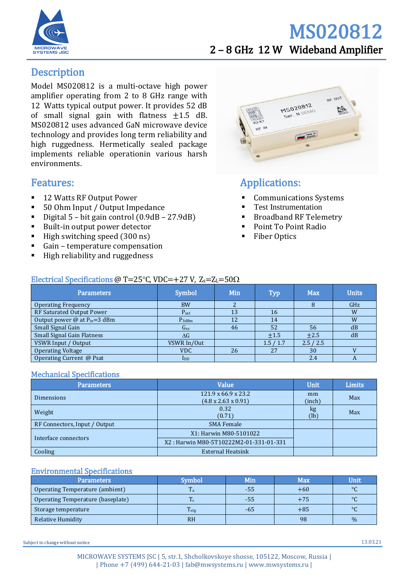

# MS020812 2 – 8 GHz 12 W Wideband Amplifier

# **Description**

Model MS020812 is a multi-octave high power amplifier operating from 2 to 8 GHz range with 12 Watts typical output power. It provides 52 dB of small signal gain with flatness  $\pm 1.5$  dB. MS020812 uses advanced GaN microwave device technology and provides long term reliability and high ruggedness. Hermetically sealed package implements reliable operationin various harsh environments.

# Features:

- 12 Watts RF Output Power
- 50 Ohm Input / Output Impedance
- Digital  $5$  bit gain control  $(0.9dB 27.9dB)$
- Built-in output power detector
- $\blacksquare$  High switching speed (300 ns)
- Gain temperature compensation
- **High reliability and ruggedness**



# Applications:

- **Communications Systems**
- Test Instrumentation
- Broadband RF Telemetry
- Point To Point Radio
- **Fiber Optics**

#### Electrical Specifications @ T=25 $\degree$ C, VDC=+27 V, Z<sub>s</sub>=Z<sub>L</sub>=50 $\Omega$

| <b>Parameters</b>                               | Symbol                   | Min | Typ     | <b>Max</b> | <b>Units</b> |
|-------------------------------------------------|--------------------------|-----|---------|------------|--------------|
| <b>Operating Frequency</b>                      | <b>BW</b>                |     |         |            | GHz          |
| RF Saturated Output Power                       | $P_{sat}$                | 13  | 16      |            | W            |
| Output power $\omega$ at P <sub>in</sub> =3 dBm | $P_{3dBm}$               | 12  | 14      |            | W            |
| Small Signal Gain                               | <b>G</b> ss              | 46  | 52      | 56         | dB           |
| <b>Small Signal Gain Flatness</b>               | $\Delta G$               |     | $+1.5$  | $+2.5$     | dB           |
| VSWR Input / Output                             | VSWR In/Out              |     | 1.5/1.7 | 2.5/2.5    |              |
| <b>Operating Voltage</b>                        | <b>VDC</b>               | 26  | 27      | 30         |              |
| Operating Current @ Psat                        | $\mathbf{I}_{\text{DD}}$ |     |         | 2.4        | A            |

#### Mechanical Specifications

| Parameters                    | Value                                                              | <b>Unit</b>  | <b>Limits</b> |
|-------------------------------|--------------------------------------------------------------------|--------------|---------------|
| <b>Dimensions</b>             | $121.9 \times 66.9 \times 23.2$<br>$(4.8 \times 2.63 \times 0.91)$ | mm<br>(inch) | Max           |
| Weight                        | 0.32<br>(0.71)                                                     | kg<br>(lb)   | Max           |
| RF Connectors, Input / Output | <b>SMA Female</b>                                                  |              |               |
| Interface connectors          | X1: Harwin M80-5101022                                             |              |               |
|                               | X2: Harwin M80-5T10222M2-01-331-01-331                             |              |               |
| Cooling                       | <b>External Heatsink</b>                                           |              |               |

#### Environmental Specifications

| Parameters                        | Symbol           | Min   | <b>Max</b> | Unit    |
|-----------------------------------|------------------|-------|------------|---------|
| Operating Temperature (ambient)   | m.<br>1 a        | $-55$ | $+60$      | $\circ$ |
| Operating Temperature (baseplate) | m                | -55   | $+75$      | $\circ$ |
| Storage temperature               | T <sub>stg</sub> | -65   | $+85$      | $\circ$ |
| Relative Humidity                 | <b>RH</b>        |       | 98         | $\%$    |

Subject to change without notice 13.03.21